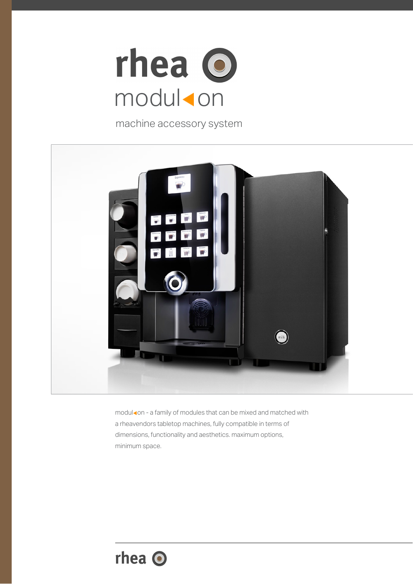

machine accessory system



modul on - a family of modules that can be mixed and matched with a rheavendors tabletop machines, fully compatible in terms of dimensions, functionality and aesthetics. maximum options, minimum space.